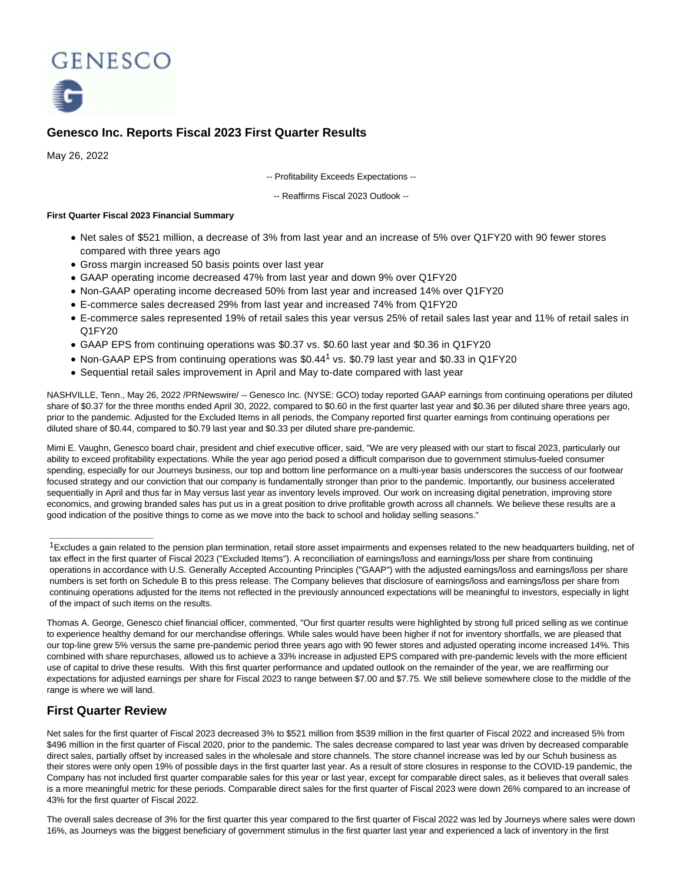

# **Genesco Inc. Reports Fiscal 2023 First Quarter Results**

May 26, 2022

-- Profitability Exceeds Expectations --

-- Reaffirms Fiscal 2023 Outlook --

#### **First Quarter Fiscal 2023 Financial Summary**

- Net sales of \$521 million, a decrease of 3% from last year and an increase of 5% over Q1FY20 with 90 fewer stores compared with three years ago
- Gross margin increased 50 basis points over last year
- GAAP operating income decreased 47% from last year and down 9% over Q1FY20
- Non-GAAP operating income decreased 50% from last year and increased 14% over Q1FY20
- E-commerce sales decreased 29% from last year and increased 74% from Q1FY20
- E-commerce sales represented 19% of retail sales this year versus 25% of retail sales last year and 11% of retail sales in  $O1$ FY20
- GAAP EPS from continuing operations was \$0.37 vs. \$0.60 last year and \$0.36 in Q1FY20
- Non-GAAP EPS from continuing operations was \$0.44<sup>1</sup> vs. \$0.79 last year and \$0.33 in Q1FY20
- Sequential retail sales improvement in April and May to-date compared with last year

NASHVILLE, Tenn., May 26, 2022 /PRNewswire/ -- Genesco Inc. (NYSE: GCO) today reported GAAP earnings from continuing operations per diluted share of \$0.37 for the three months ended April 30, 2022, compared to \$0.60 in the first quarter last year and \$0.36 per diluted share three years ago, prior to the pandemic. Adjusted for the Excluded Items in all periods, the Company reported first quarter earnings from continuing operations per diluted share of \$0.44, compared to \$0.79 last year and \$0.33 per diluted share pre-pandemic.

Mimi E. Vaughn, Genesco board chair, president and chief executive officer, said, "We are very pleased with our start to fiscal 2023, particularly our ability to exceed profitability expectations. While the year ago period posed a difficult comparison due to government stimulus-fueled consumer spending, especially for our Journeys business, our top and bottom line performance on a multi-year basis underscores the success of our footwear focused strategy and our conviction that our company is fundamentally stronger than prior to the pandemic. Importantly, our business accelerated sequentially in April and thus far in May versus last year as inventory levels improved. Our work on increasing digital penetration, improving store economics, and growing branded sales has put us in a great position to drive profitable growth across all channels. We believe these results are a good indication of the positive things to come as we move into the back to school and holiday selling seasons."

Thomas A. George, Genesco chief financial officer, commented, "Our first quarter results were highlighted by strong full priced selling as we continue to experience healthy demand for our merchandise offerings. While sales would have been higher if not for inventory shortfalls, we are pleased that our top-line grew 5% versus the same pre-pandemic period three years ago with 90 fewer stores and adjusted operating income increased 14%. This combined with share repurchases, allowed us to achieve a 33% increase in adjusted EPS compared with pre-pandemic levels with the more efficient use of capital to drive these results. With this first quarter performance and updated outlook on the remainder of the year, we are reaffirming our expectations for adjusted earnings per share for Fiscal 2023 to range between \$7.00 and \$7.75. We still believe somewhere close to the middle of the range is where we will land.

# **First Quarter Review**

**\_\_\_\_\_\_\_\_\_\_\_\_\_\_\_\_\_\_\_\_\_**

Net sales for the first quarter of Fiscal 2023 decreased 3% to \$521 million from \$539 million in the first quarter of Fiscal 2022 and increased 5% from \$496 million in the first quarter of Fiscal 2020, prior to the pandemic. The sales decrease compared to last year was driven by decreased comparable direct sales, partially offset by increased sales in the wholesale and store channels. The store channel increase was led by our Schuh business as their stores were only open 19% of possible days in the first quarter last year. As a result of store closures in response to the COVID-19 pandemic, the Company has not included first quarter comparable sales for this year or last year, except for comparable direct sales, as it believes that overall sales is a more meaningful metric for these periods. Comparable direct sales for the first quarter of Fiscal 2023 were down 26% compared to an increase of 43% for the first quarter of Fiscal 2022.

The overall sales decrease of 3% for the first quarter this year compared to the first quarter of Fiscal 2022 was led by Journeys where sales were down 16%, as Journeys was the biggest beneficiary of government stimulus in the first quarter last year and experienced a lack of inventory in the first

 $1$ Excludes a gain related to the pension plan termination, retail store asset impairments and expenses related to the new headquarters building, net of tax effect in the first quarter of Fiscal 2023 ("Excluded Items"). A reconciliation of earnings/loss and earnings/loss per share from continuing operations in accordance with U.S. Generally Accepted Accounting Principles ("GAAP") with the adjusted earnings/loss and earnings/loss per share numbers is set forth on Schedule B to this press release. The Company believes that disclosure of earnings/loss and earnings/loss per share from continuing operations adjusted for the items not reflected in the previously announced expectations will be meaningful to investors, especially in light of the impact of such items on the results.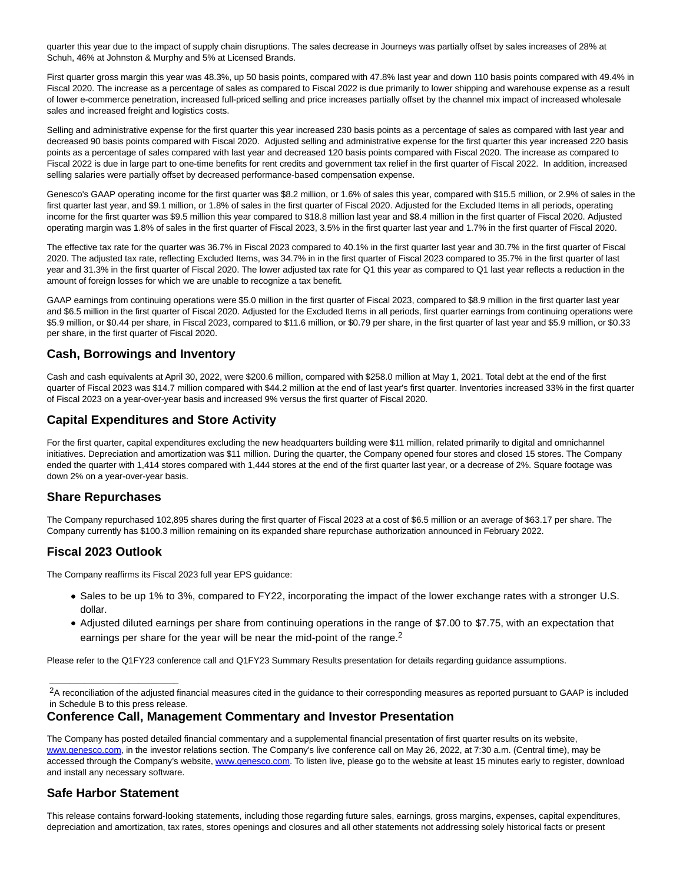quarter this year due to the impact of supply chain disruptions. The sales decrease in Journeys was partially offset by sales increases of 28% at Schuh, 46% at Johnston & Murphy and 5% at Licensed Brands.

First quarter gross margin this year was 48.3%, up 50 basis points, compared with 47.8% last year and down 110 basis points compared with 49.4% in Fiscal 2020. The increase as a percentage of sales as compared to Fiscal 2022 is due primarily to lower shipping and warehouse expense as a result of lower e-commerce penetration, increased full-priced selling and price increases partially offset by the channel mix impact of increased wholesale sales and increased freight and logistics costs.

Selling and administrative expense for the first quarter this year increased 230 basis points as a percentage of sales as compared with last year and decreased 90 basis points compared with Fiscal 2020. Adjusted selling and administrative expense for the first quarter this year increased 220 basis points as a percentage of sales compared with last year and decreased 120 basis points compared with Fiscal 2020. The increase as compared to Fiscal 2022 is due in large part to one-time benefits for rent credits and government tax relief in the first quarter of Fiscal 2022. In addition, increased selling salaries were partially offset by decreased performance-based compensation expense.

Genesco's GAAP operating income for the first quarter was \$8.2 million, or 1.6% of sales this year, compared with \$15.5 million, or 2.9% of sales in the first quarter last year, and \$9.1 million, or 1.8% of sales in the first quarter of Fiscal 2020. Adjusted for the Excluded Items in all periods, operating income for the first quarter was \$9.5 million this year compared to \$18.8 million last year and \$8.4 million in the first quarter of Fiscal 2020. Adjusted operating margin was 1.8% of sales in the first quarter of Fiscal 2023, 3.5% in the first quarter last year and 1.7% in the first quarter of Fiscal 2020.

The effective tax rate for the quarter was 36.7% in Fiscal 2023 compared to 40.1% in the first quarter last year and 30.7% in the first quarter of Fiscal 2020. The adjusted tax rate, reflecting Excluded Items, was 34.7% in in the first quarter of Fiscal 2023 compared to 35.7% in the first quarter of last year and 31.3% in the first quarter of Fiscal 2020. The lower adjusted tax rate for Q1 this year as compared to Q1 last year reflects a reduction in the amount of foreign losses for which we are unable to recognize a tax benefit.

GAAP earnings from continuing operations were \$5.0 million in the first quarter of Fiscal 2023, compared to \$8.9 million in the first quarter last year and \$6.5 million in the first quarter of Fiscal 2020. Adjusted for the Excluded Items in all periods, first quarter earnings from continuing operations were \$5.9 million, or \$0.44 per share, in Fiscal 2023, compared to \$11.6 million, or \$0.79 per share, in the first quarter of last year and \$5.9 million, or \$0.33 per share, in the first quarter of Fiscal 2020.

### **Cash, Borrowings and Inventory**

Cash and cash equivalents at April 30, 2022, were \$200.6 million, compared with \$258.0 million at May 1, 2021. Total debt at the end of the first quarter of Fiscal 2023 was \$14.7 million compared with \$44.2 million at the end of last year's first quarter. Inventories increased 33% in the first quarter of Fiscal 2023 on a year-over-year basis and increased 9% versus the first quarter of Fiscal 2020.

### **Capital Expenditures and Store Activity**

For the first quarter, capital expenditures excluding the new headquarters building were \$11 million, related primarily to digital and omnichannel initiatives. Depreciation and amortization was \$11 million. During the quarter, the Company opened four stores and closed 15 stores. The Company ended the quarter with 1,414 stores compared with 1,444 stores at the end of the first quarter last year, or a decrease of 2%. Square footage was down 2% on a year-over-year basis.

#### **Share Repurchases**

The Company repurchased 102,895 shares during the first quarter of Fiscal 2023 at a cost of \$6.5 million or an average of \$63.17 per share. The Company currently has \$100.3 million remaining on its expanded share repurchase authorization announced in February 2022.

# **Fiscal 2023 Outlook**

The Company reaffirms its Fiscal 2023 full year EPS guidance:

- Sales to be up 1% to 3%, compared to FY22, incorporating the impact of the lower exchange rates with a stronger U.S. dollar.
- Adjusted diluted earnings per share from continuing operations in the range of \$7.00 to \$7.75, with an expectation that earnings per share for the year will be near the mid-point of the range.<sup>2</sup>

Please refer to the Q1FY23 conference call and Q1FY23 Summary Results presentation for details regarding guidance assumptions.

<sup>2</sup>A reconciliation of the adjusted financial measures cited in the guidance to their corresponding measures as reported pursuant to GAAP is included in Schedule B to this press release.

#### **Conference Call, Management Commentary and Investor Presentation**

The Company has posted detailed financial commentary and a supplemental financial presentation of first quarter results on its website, [www.genesco.com,](https://c212.net/c/link/?t=0&l=en&o=3548744-1&h=1289957206&u=http%3A%2F%2Fwww.genesco.com%2F&a=www.genesco.com) in the investor relations section. The Company's live conference call on May 26, 2022, at 7:30 a.m. (Central time), may be accessed through the Company's website[, www.genesco.com.](https://c212.net/c/link/?t=0&l=en&o=3548744-1&h=1289957206&u=http%3A%2F%2Fwww.genesco.com%2F&a=www.genesco.com) To listen live, please go to the website at least 15 minutes early to register, download and install any necessary software.

# **Safe Harbor Statement**

**\_\_\_\_\_\_\_\_\_\_\_\_\_\_\_\_\_\_\_\_\_\_\_\_\_\_**

This release contains forward-looking statements, including those regarding future sales, earnings, gross margins, expenses, capital expenditures, depreciation and amortization, tax rates, stores openings and closures and all other statements not addressing solely historical facts or present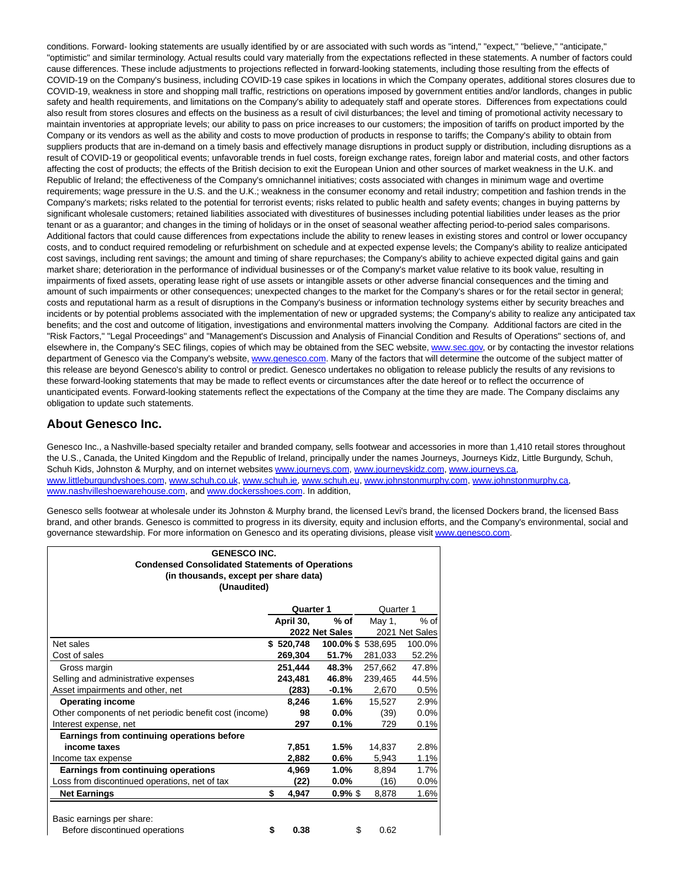conditions. Forward- looking statements are usually identified by or are associated with such words as "intend," "expect," "believe," "anticipate," "optimistic" and similar terminology. Actual results could vary materially from the expectations reflected in these statements. A number of factors could cause differences. These include adjustments to projections reflected in forward-looking statements, including those resulting from the effects of COVID-19 on the Company's business, including COVID-19 case spikes in locations in which the Company operates, additional stores closures due to COVID-19, weakness in store and shopping mall traffic, restrictions on operations imposed by government entities and/or landlords, changes in public safety and health requirements, and limitations on the Company's ability to adequately staff and operate stores. Differences from expectations could also result from stores closures and effects on the business as a result of civil disturbances; the level and timing of promotional activity necessary to maintain inventories at appropriate levels; our ability to pass on price increases to our customers; the imposition of tariffs on product imported by the Company or its vendors as well as the ability and costs to move production of products in response to tariffs; the Company's ability to obtain from suppliers products that are in-demand on a timely basis and effectively manage disruptions in product supply or distribution, including disruptions as a result of COVID-19 or geopolitical events; unfavorable trends in fuel costs, foreign exchange rates, foreign labor and material costs, and other factors affecting the cost of products; the effects of the British decision to exit the European Union and other sources of market weakness in the U.K. and Republic of Ireland; the effectiveness of the Company's omnichannel initiatives; costs associated with changes in minimum wage and overtime requirements; wage pressure in the U.S. and the U.K.; weakness in the consumer economy and retail industry; competition and fashion trends in the Company's markets; risks related to the potential for terrorist events; risks related to public health and safety events; changes in buying patterns by significant wholesale customers; retained liabilities associated with divestitures of businesses including potential liabilities under leases as the prior tenant or as a guarantor; and changes in the timing of holidays or in the onset of seasonal weather affecting period-to-period sales comparisons. Additional factors that could cause differences from expectations include the ability to renew leases in existing stores and control or lower occupancy costs, and to conduct required remodeling or refurbishment on schedule and at expected expense levels; the Company's ability to realize anticipated cost savings, including rent savings; the amount and timing of share repurchases; the Company's ability to achieve expected digital gains and gain market share; deterioration in the performance of individual businesses or of the Company's market value relative to its book value, resulting in impairments of fixed assets, operating lease right of use assets or intangible assets or other adverse financial consequences and the timing and amount of such impairments or other consequences; unexpected changes to the market for the Company's shares or for the retail sector in general; costs and reputational harm as a result of disruptions in the Company's business or information technology systems either by security breaches and incidents or by potential problems associated with the implementation of new or upgraded systems; the Company's ability to realize any anticipated tax benefits; and the cost and outcome of litigation, investigations and environmental matters involving the Company. Additional factors are cited in the "Risk Factors," "Legal Proceedings" and "Management's Discussion and Analysis of Financial Condition and Results of Operations" sections of, and elsewhere in, the Company's SEC filings, copies of which may be obtained from the SEC website, [www.sec.gov,](http://www.sec.gov/) or by contacting the investor relations department of Genesco via the Company's website, [www.genesco.com.](http://www.genesco.com/) Many of the factors that will determine the outcome of the subject matter of this release are beyond Genesco's ability to control or predict. Genesco undertakes no obligation to release publicly the results of any revisions to these forward-looking statements that may be made to reflect events or circumstances after the date hereof or to reflect the occurrence of unanticipated events. Forward-looking statements reflect the expectations of the Company at the time they are made. The Company disclaims any obligation to update such statements.

# **About Genesco Inc.**

Genesco Inc., a Nashville-based specialty retailer and branded company, sells footwear and accessories in more than 1,410 retail stores throughout the U.S., Canada, the United Kingdom and the Republic of Ireland, principally under the names Journeys, Journeys Kidz, Little Burgundy, Schuh, Schuh Kids, Johnston & Murphy, and on internet websites [www.journeys.com,](http://www.journeys.com/) [www.journeyskidz.com,](http://www.journeyskidz.com/) [www.journeys.ca,](http://www.journeys.ca/) [www.littleburgundyshoes.com,](http://www.littleburgundyshoes.com/) [www.schuh.co.uk,](http://www.schuh.co.uk/) [www.schuh.ie,](https://c212.net/c/link/?t=0&l=en&o=3548744-1&h=2652040446&u=http%3A%2F%2Fwww.schuh.ie%2F&a=www.schuh.ie) [www.schuh.eu,](https://c212.net/c/link/?t=0&l=en&o=3548744-1&h=3839453210&u=http%3A%2F%2Fwww.schuh.eu%2F&a=www.schuh.eu) [www.johnstonmurphy.com,](http://www.johnstonmurphy.com/) [www.johnstonmurphy.ca,](http://www.johnstonmurphy.ca/) [www.nashvilleshoewarehouse.com,](http://www.nashvilleshoewarehouse.com/) and [www.dockersshoes.com.](http://www.dockersshoes.com/) In addition,

Genesco sells footwear at wholesale under its Johnston & Murphy brand, the licensed Levi's brand, the licensed Dockers brand, the licensed Bass brand, and other brands. Genesco is committed to progress in its diversity, equity and inclusion efforts, and the Company's environmental, social and governance stewardship. For more information on Genesco and its operating divisions, please visi[t www.genesco.com.](https://c212.net/c/link/?t=0&l=en&o=3548744-1&h=1289957206&u=http%3A%2F%2Fwww.genesco.com%2F&a=www.genesco.com)

| <b>GENESCO INC.</b><br><b>Condensed Consolidated Statements of Operations</b><br>(in thousands, except per share data)<br>(Unaudited) |             |                  |         |                |
|---------------------------------------------------------------------------------------------------------------------------------------|-------------|------------------|---------|----------------|
|                                                                                                                                       | Quarter 1   |                  |         |                |
|                                                                                                                                       | April 30,   | $%$ of           | May 1,  | $%$ of         |
|                                                                                                                                       |             | 2022 Net Sales   |         | 2021 Net Sales |
| Net sales                                                                                                                             | \$520,748   | 100.0% \$538,695 |         | 100.0%         |
| Cost of sales                                                                                                                         | 269,304     | 51.7%            | 281,033 | 52.2%          |
| Gross margin                                                                                                                          | 251,444     | 48.3%            | 257,662 | 47.8%          |
| Selling and administrative expenses                                                                                                   | 243,481     | 46.8%            | 239,465 | 44.5%          |
| Asset impairments and other, net                                                                                                      | (283)       | $-0.1%$          | 2,670   | 0.5%           |
| <b>Operating income</b>                                                                                                               | 8,246       | 1.6%             | 15,527  | 2.9%           |
| Other components of net periodic benefit cost (income)                                                                                | 98          | 0.0%             | (39)    | 0.0%           |
| Interest expense, net                                                                                                                 | 297         | 0.1%             | 729     | 0.1%           |
| Earnings from continuing operations before                                                                                            |             |                  |         |                |
| income taxes                                                                                                                          | 7,851       | 1.5%             | 14,837  | 2.8%           |
| Income tax expense                                                                                                                    | 2,882       | $0.6\%$          | 5,943   | 1.1%           |
| Earnings from continuing operations                                                                                                   | 4,969       | 1.0%             | 8,894   | 1.7%           |
| Loss from discontinued operations, net of tax                                                                                         | (22)        | $0.0\%$          | (16)    | 0.0%           |
| <b>Net Earnings</b>                                                                                                                   | \$<br>4.947 | $0.9\%$ \$       | 8,878   | 1.6%           |
| Basic earnings per share:<br>Before discontinued operations                                                                           | \$<br>0.38  | \$               | 0.62    |                |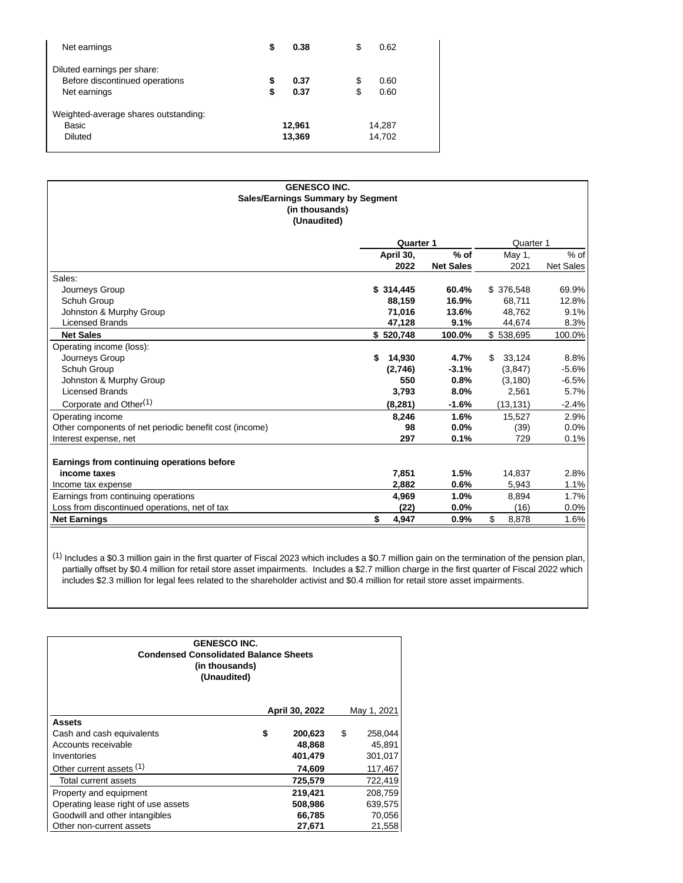| Net earnings                         | \$<br>0.38 | \$<br>0.62 |  |
|--------------------------------------|------------|------------|--|
| Diluted earnings per share:          |            |            |  |
| Before discontinued operations       | \$<br>0.37 | \$<br>0.60 |  |
| Net earnings                         | \$<br>0.37 | \$<br>0.60 |  |
| Weighted-average shares outstanding: |            |            |  |
| Basic                                | 12.961     | 14,287     |  |
| Diluted                              | 13,369     | 14,702     |  |

|                                                            | <b>GENESCO INC.</b><br><b>Sales/Earnings Summary by Segment</b><br>(in thousands)<br>(Unaudited) |                          |              |                  |
|------------------------------------------------------------|--------------------------------------------------------------------------------------------------|--------------------------|--------------|------------------|
|                                                            |                                                                                                  | Quarter 1                | Quarter 1    |                  |
|                                                            | April 30,                                                                                        | % of                     | May 1,       | % of             |
|                                                            |                                                                                                  | <b>Net Sales</b><br>2022 | 2021         | <b>Net Sales</b> |
| Sales:                                                     |                                                                                                  |                          |              |                  |
| Journeys Group                                             | \$314,445                                                                                        | 60.4%                    | \$ 376,548   | 69.9%            |
| Schuh Group                                                | 88,159                                                                                           | 16.9%                    | 68.711       | 12.8%            |
| Johnston & Murphy Group                                    | 71,016                                                                                           | 13.6%                    | 48,762       | 9.1%             |
| <b>Licensed Brands</b>                                     | 47,128                                                                                           | 9.1%                     | 44,674       | 8.3%             |
| <b>Net Sales</b>                                           | \$520,748                                                                                        | 100.0%                   | \$538,695    | 100.0%           |
| Operating income (loss):                                   |                                                                                                  |                          |              |                  |
| Journeys Group                                             | \$<br>14,930                                                                                     | 4.7%                     | 33,124<br>\$ | 8.8%             |
| Schuh Group                                                | (2,746)                                                                                          | $-3.1%$                  | (3, 847)     | $-5.6%$          |
| Johnston & Murphy Group                                    |                                                                                                  | 550<br>0.8%              | (3, 180)     | $-6.5%$          |
| <b>Licensed Brands</b>                                     |                                                                                                  | 3,793<br>8.0%            | 2,561        | 5.7%             |
| Corporate and Other <sup>(1)</sup>                         | (8, 281)                                                                                         | $-1.6%$                  | (13, 131)    | $-2.4%$          |
| Operating income                                           |                                                                                                  | 8,246<br>1.6%            | 15,527       | 2.9%             |
| Other components of net periodic benefit cost (income)     |                                                                                                  | 0.0%<br>98               | (39)         | 0.0%             |
| Interest expense, net                                      |                                                                                                  | 297<br>0.1%              | 729          | 0.1%             |
| Earnings from continuing operations before<br>income taxes |                                                                                                  | 7,851<br>1.5%            | 14,837       | 2.8%             |
| Income tax expense                                         |                                                                                                  | 2,882<br>0.6%            | 5,943        | 1.1%             |
| Earnings from continuing operations                        |                                                                                                  | 4,969<br>1.0%            | 8,894        | 1.7%             |
| Loss from discontinued operations, net of tax              |                                                                                                  | (22)<br>0.0%             | (16)         | 0.0%             |
| <b>Net Earnings</b>                                        | \$                                                                                               | 4,947<br>0.9%            | \$<br>8,878  | 1.6%             |

(1) Includes a \$0.3 million gain in the first quarter of Fiscal 2023 which includes a \$0.7 million gain on the termination of the pension plan, partially offset by \$0.4 million for retail store asset impairments. Includes a \$2.7 million charge in the first quarter of Fiscal 2022 which includes \$2.3 million for legal fees related to the shareholder activist and \$0.4 million for retail store asset impairments.

| <b>GENESCO INC.</b><br><b>Condensed Consolidated Balance Sheets</b><br>(in thousands)<br>(Unaudited) |    |                |    |             |  |  |  |  |  |
|------------------------------------------------------------------------------------------------------|----|----------------|----|-------------|--|--|--|--|--|
|                                                                                                      |    | April 30, 2022 |    | May 1, 2021 |  |  |  |  |  |
| Assets                                                                                               |    |                |    |             |  |  |  |  |  |
| Cash and cash equivalents                                                                            | \$ | 200,623        | \$ | 258,044     |  |  |  |  |  |
| Accounts receivable                                                                                  |    | 48,868         |    | 45,891      |  |  |  |  |  |
| Inventories                                                                                          |    | 401,479        |    | 301,017     |  |  |  |  |  |
| Other current assets (1)                                                                             |    | 74,609         |    | 117,467     |  |  |  |  |  |
| Total current assets                                                                                 |    | 725,579        |    | 722,419     |  |  |  |  |  |
| Property and equipment                                                                               |    | 219,421        |    | 208,759     |  |  |  |  |  |
| Operating lease right of use assets                                                                  |    | 508,986        |    | 639,575     |  |  |  |  |  |
| Goodwill and other intangibles                                                                       |    | 66,785         |    | 70,056      |  |  |  |  |  |
| Other non-current assets                                                                             |    | 27,671         |    | 21,558      |  |  |  |  |  |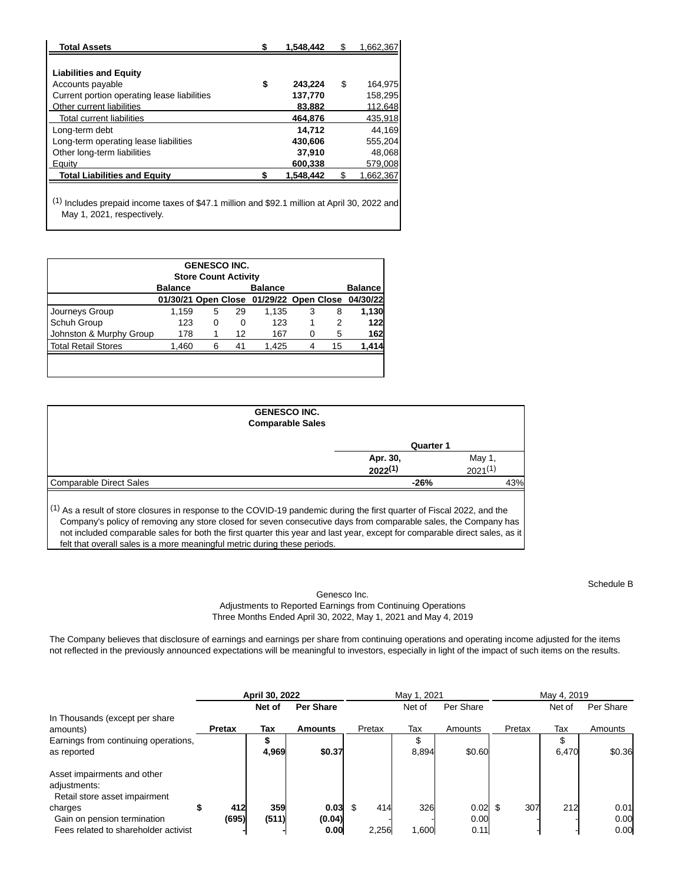| <b>Total Assets</b>                         | S  | 1,548,442 | S  | 1,662,367 |
|---------------------------------------------|----|-----------|----|-----------|
|                                             |    |           |    |           |
| <b>Liabilities and Equity</b>               |    |           |    |           |
| Accounts payable                            | \$ | 243.224   | S  | 164.975   |
| Current portion operating lease liabilities |    | 137,770   |    | 158,295   |
| Other current liabilities                   |    | 83,882    |    | 112,648   |
| Total current liabilities                   |    | 464.876   |    | 435,918   |
| Long-term debt                              |    | 14.712    |    | 44,169    |
| Long-term operating lease liabilities       |    | 430,606   |    | 555,204   |
| Other long-term liabilities                 |    | 37.910    |    | 48,068    |
| Equity                                      |    | 600,338   |    | 579,008   |
| <b>Total Liabilities and Equity</b>         |    | 1.548.442 | \$ | 1,662,367 |
|                                             |    |           |    |           |

(1) Includes prepaid income taxes of \$47.1 million and \$92.1 million at April 30, 2022 and May 1, 2021, respectively.

| <b>GENESCO INC.</b><br><b>Store Count Activity</b> |       |                                         |    |       |   |    |       |  |  |  |  |  |  |
|----------------------------------------------------|-------|-----------------------------------------|----|-------|---|----|-------|--|--|--|--|--|--|
| <b>Balance</b><br><b>Balance</b>                   |       |                                         |    |       |   |    |       |  |  |  |  |  |  |
|                                                    |       | 01/30/21 Open Close 01/29/22 Open Close |    |       |   |    |       |  |  |  |  |  |  |
| Journeys Group                                     | 1,159 | 5                                       | 29 | 1,135 | 3 | 8  | 1,130 |  |  |  |  |  |  |
| Schuh Group                                        | 123   | 0                                       | 0  | 123   |   | 2  | 122   |  |  |  |  |  |  |
| Johnston & Murphy Group                            | 178   |                                         | 12 | 167   | 0 | 5  | 162   |  |  |  |  |  |  |
| <b>Total Retail Stores</b>                         | 1,460 | 6                                       | 41 | 1,425 | 4 | 15 | 1,414 |  |  |  |  |  |  |
|                                                    |       |                                         |    |       |   |    |       |  |  |  |  |  |  |

| <b>GENESCO INC.</b><br><b>Comparable Sales</b> |                  |              |
|------------------------------------------------|------------------|--------------|
|                                                | <b>Quarter 1</b> |              |
|                                                | Apr. 30,         | May 1,       |
|                                                | $2022^{(1)}$     | $2021^{(1)}$ |
| Comparable Direct Sales                        | $-26%$           | 43%          |

(1) As a result of store closures in response to the COVID-19 pandemic during the first quarter of Fiscal 2022, and the Company's policy of removing any store closed for seven consecutive days from comparable sales, the Company has not included comparable sales for both the first quarter this year and last year, except for comparable direct sales, as it felt that overall sales is a more meaningful metric during these periods.

Schedule B

Genesco Inc.

Adjustments to Reported Earnings from Continuing Operations Three Months Ended April 30, 2022, May 1, 2021 and May 4, 2019

The Company believes that disclosure of earnings and earnings per share from continuing operations and operating income adjusted for the items not reflected in the previously announced expectations will be meaningful to investors, especially in light of the impact of such items on the results.

|                                                                              | April 30, 2022 |        |                |          | May 1, 2021 |                    |        | May 4, 2019 |           |  |
|------------------------------------------------------------------------------|----------------|--------|----------------|----------|-------------|--------------------|--------|-------------|-----------|--|
|                                                                              |                | Net of | Per Share      |          | Net of      | Per Share          |        | Net of      | Per Share |  |
| In Thousands (except per share<br>amounts)                                   | <b>Pretax</b>  | Tax    | <b>Amounts</b> | Pretax   | Tax         | Amounts            | Pretax | Tax         | Amounts   |  |
| Earnings from continuing operations,<br>as reported                          |                | 4.969  | \$0.37         |          | \$<br>8.894 | \$0.60             |        | \$<br>6.470 | \$0.36    |  |
| Asset impairments and other<br>adjustments:<br>Retail store asset impairment |                |        |                |          |             |                    |        |             |           |  |
| charges                                                                      | 412            | 359    | 0.03           | 414<br>S | 326         | $0.02 \text{ }$ \$ | 307    | 212         | 0.01      |  |
| Gain on pension termination                                                  | (695)          | (511)  | (0.04)         |          |             | 0.00               |        |             | 0.00      |  |
| Fees related to shareholder activist                                         |                |        | 0.00           | 2.256    | 1.600       | 0.11               |        |             | 0.00      |  |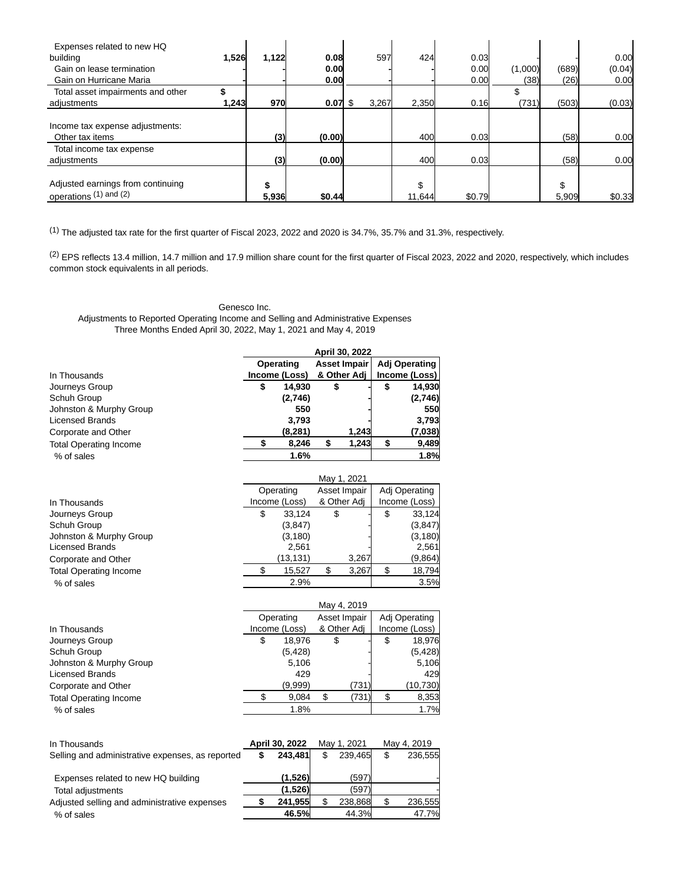| Expenses related to new HQ        |       |       |        |       |        |        |         |       |        |
|-----------------------------------|-------|-------|--------|-------|--------|--------|---------|-------|--------|
| building                          | 1,526 | 1,122 | 0.08   | 597   | 424    | 0.03   |         |       | 0.00   |
| Gain on lease termination         |       |       | 0.00   |       |        | 0.00   | (1,000) | (689) | (0.04) |
| Gain on Hurricane Maria           |       |       | 0.00   |       |        | 0.00   | (38)    | (26)  | 0.00   |
| Total asset impairments and other |       |       |        |       |        |        |         |       |        |
| adjustments                       | 1,243 | 970   | 0.07S  | 3,267 | 2,350  | 0.16   | (731)   | (503) | (0.03) |
|                                   |       |       |        |       |        |        |         |       |        |
| Income tax expense adjustments:   |       |       |        |       |        |        |         |       |        |
| Other tax items                   |       | (3)   | (0.00) |       | 400    | 0.03   |         | (58)  | 0.00   |
| Total income tax expense          |       |       |        |       |        |        |         |       |        |
| adjustments                       |       | (3)   | (0.00) |       | 400    | 0.03   |         | (58)  | 0.00   |
|                                   |       |       |        |       |        |        |         |       |        |
| Adjusted earnings from continuing |       | \$    |        |       | \$     |        |         | \$    |        |
| operations (1) and (2)            |       | 5,936 | \$0.44 |       | 11.644 | \$0.79 |         | 5,909 | \$0.33 |

(1) The adjusted tax rate for the first quarter of Fiscal 2023, 2022 and 2020 is 34.7%, 35.7% and 31.3%, respectively.

(2) EPS reflects 13.4 million, 14.7 million and 17.9 million share count for the first quarter of Fiscal 2023, 2022 and 2020, respectively, which includes common stock equivalents in all periods.

| Genesco Inc.                                                                     |
|----------------------------------------------------------------------------------|
| Adjustments to Reported Operating Income and Selling and Administrative Expenses |
| Three Months Ended April 30, 2022, May 1, 2021 and May 4, 2019                   |

|                               | April 30, 2022 |                     |             |    |               |
|-------------------------------|----------------|---------------------|-------------|----|---------------|
|                               | Operating      | <b>Asset Impair</b> |             |    | Adj Operating |
| In Thousands                  | Income (Loss)  | & Other Adj         |             |    | Income (Loss) |
| Journeys Group                | \$<br>14,930   | \$                  |             | \$ | 14,930        |
| Schuh Group                   | (2,746)        |                     |             |    | (2,746)       |
| Johnston & Murphy Group       | 550            |                     |             |    | 550           |
| Licensed Brands               | 3,793          |                     |             |    | 3,793         |
| Corporate and Other           | (8, 281)       |                     | 1,243       |    | (7,038)       |
| <b>Total Operating Income</b> | \$<br>8,246    | \$                  | 1,243       | \$ | 9,489         |
| % of sales                    | 1.6%           |                     |             |    | 1.8%          |
|                               |                |                     |             |    |               |
|                               |                | May 1, 2021         |             |    |               |
|                               | Operating      | Asset Impair        |             |    | Adj Operating |
| In Thousands                  | Income (Loss)  | & Other Adj         |             |    | Income (Loss) |
| Journeys Group                | \$<br>33,124   | \$                  |             | \$ | 33,124        |
| Schuh Group                   | (3,847)        |                     |             |    | (3, 847)      |
| Johnston & Murphy Group       | (3, 180)       |                     |             |    | (3, 180)      |
| Licensed Brands               | 2,561          |                     |             |    | 2,561         |
| Corporate and Other           | (13, 131)      |                     | 3,267       |    | (9,864)       |
| <b>Total Operating Income</b> | \$<br>15,527   | \$                  | 3,267       | \$ | 18,794        |
| % of sales                    | 2.9%           |                     |             |    | 3.5%          |
|                               |                |                     |             |    |               |
|                               |                |                     | May 4, 2019 |    |               |
|                               | Operating      | Asset Impair        |             |    | Adj Operating |
| In Thousands                  | Income (Loss)  | & Other Adj         |             |    | Income (Loss) |
| Journeys Group                | \$<br>18,976   | \$                  |             | \$ | 18,976        |
| Schuh Group                   | (5, 428)       |                     |             |    | (5, 428)      |
|                               |                |                     |             |    |               |

| Schuh Group                   | (5, 428) |       | (5, 428) |
|-------------------------------|----------|-------|----------|
| Johnston & Murphy Group       | 5.106    |       | 5,106    |
| <b>Licensed Brands</b>        | 429      |       | 429      |
| Corporate and Other           | (9.999)  | (731) | (10,730) |
| <b>Total Operating Income</b> | 9.084    | (731) | 8,353    |
| % of sales                    | 1.8%     |       | 1.7%     |
|                               |          |       |          |

| 243.481<br>239,465<br>Selling and administrative expenses, as reported<br>£.<br>236,555 |  |
|-----------------------------------------------------------------------------------------|--|
| (1,526)<br>(597)<br>Expenses related to new HQ building                                 |  |
| (1,526)<br>(597)<br>Total adjustments                                                   |  |
| 241,955<br>238,868<br>236,555<br>Adjusted selling and administrative expenses           |  |
| 46.5%<br>44.3%<br>47.7%<br>% of sales                                                   |  |